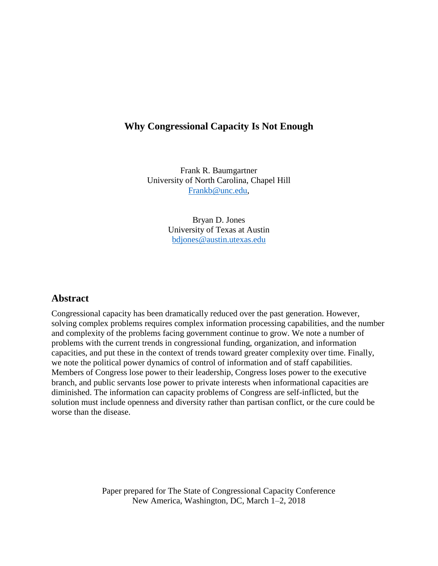# **Why Congressional Capacity Is Not Enough**

Frank R. Baumgartner University of North Carolina, Chapel Hill [Frankb@unc.edu,](mailto:Frankb@unc.edu)

> Bryan D. Jones University of Texas at Austin [bdjones@austin.utexas.edu](mailto:bdjones@austin.utexas.edu)

# **Abstract**

Congressional capacity has been dramatically reduced over the past generation. However, solving complex problems requires complex information processing capabilities, and the number and complexity of the problems facing government continue to grow. We note a number of problems with the current trends in congressional funding, organization, and information capacities, and put these in the context of trends toward greater complexity over time. Finally, we note the political power dynamics of control of information and of staff capabilities. Members of Congress lose power to their leadership, Congress loses power to the executive branch, and public servants lose power to private interests when informational capacities are diminished. The information can capacity problems of Congress are self-inflicted, but the solution must include openness and diversity rather than partisan conflict, or the cure could be worse than the disease.

> Paper prepared for The State of Congressional Capacity Conference New America, Washington, DC, March 1–2, 2018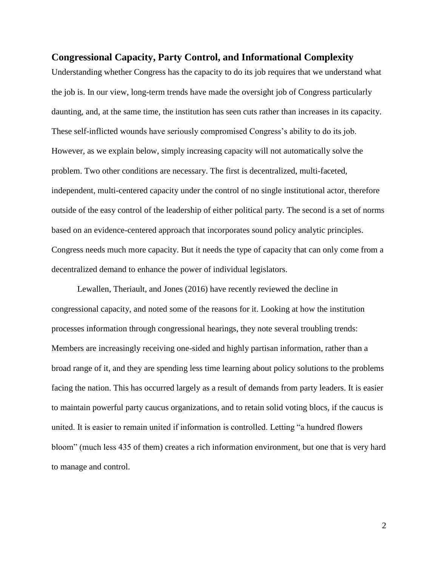# **Congressional Capacity, Party Control, and Informational Complexity**

Understanding whether Congress has the capacity to do its job requires that we understand what the job is. In our view, long-term trends have made the oversight job of Congress particularly daunting, and, at the same time, the institution has seen cuts rather than increases in its capacity. These self-inflicted wounds have seriously compromised Congress's ability to do its job. However, as we explain below, simply increasing capacity will not automatically solve the problem. Two other conditions are necessary. The first is decentralized, multi-faceted, independent, multi-centered capacity under the control of no single institutional actor, therefore outside of the easy control of the leadership of either political party. The second is a set of norms based on an evidence-centered approach that incorporates sound policy analytic principles. Congress needs much more capacity. But it needs the type of capacity that can only come from a decentralized demand to enhance the power of individual legislators.

Lewallen, Theriault, and Jones (2016) have recently reviewed the decline in congressional capacity, and noted some of the reasons for it. Looking at how the institution processes information through congressional hearings, they note several troubling trends: Members are increasingly receiving one-sided and highly partisan information, rather than a broad range of it, and they are spending less time learning about policy solutions to the problems facing the nation. This has occurred largely as a result of demands from party leaders. It is easier to maintain powerful party caucus organizations, and to retain solid voting blocs, if the caucus is united. It is easier to remain united if information is controlled. Letting "a hundred flowers bloom" (much less 435 of them) creates a rich information environment, but one that is very hard to manage and control.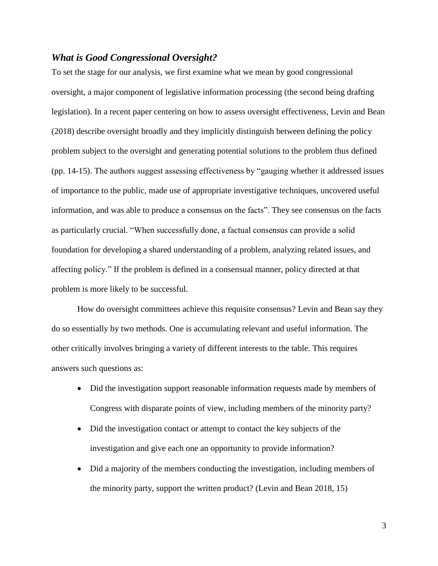# *What is Good Congressional Oversight?*

To set the stage for our analysis, we first examine what we mean by good congressional oversight, a major component of legislative information processing (the second being drafting legislation). In a recent paper centering on how to assess oversight effectiveness, Levin and Bean (2018) describe oversight broadly and they implicitly distinguish between defining the policy problem subject to the oversight and generating potential solutions to the problem thus defined (pp. 14-15). The authors suggest assessing effectiveness by "gauging whether it addressed issues of importance to the public, made use of appropriate investigative techniques, uncovered useful information, and was able to produce a consensus on the facts". They see consensus on the facts as particularly crucial. "When successfully done, a factual consensus can provide a solid foundation for developing a shared understanding of a problem, analyzing related issues, and affecting policy." If the problem is defined in a consensual manner, policy directed at that problem is more likely to be successful.

How do oversight committees achieve this requisite consensus? Levin and Bean say they do so essentially by two methods. One is accumulating relevant and useful information. The other critically involves bringing a variety of different interests to the table. This requires answers such questions as:

- Did the investigation support reasonable information requests made by members of Congress with disparate points of view, including members of the minority party?
- Did the investigation contact or attempt to contact the key subjects of the investigation and give each one an opportunity to provide information?
- Did a majority of the members conducting the investigation, including members of the minority party, support the written product? (Levin and Bean 2018, 15)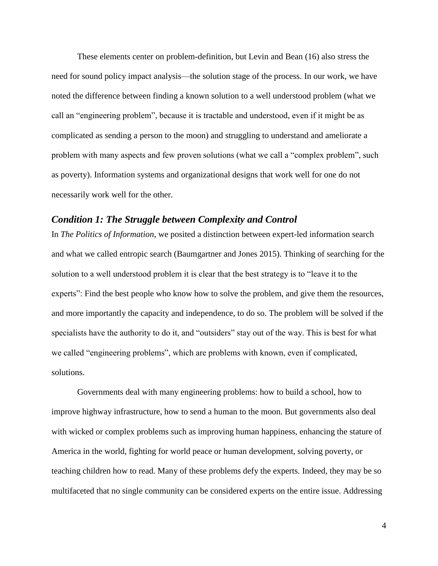These elements center on problem-definition, but Levin and Bean (16) also stress the need for sound policy impact analysis—the solution stage of the process. In our work, we have noted the difference between finding a known solution to a well understood problem (what we call an "engineering problem", because it is tractable and understood, even if it might be as complicated as sending a person to the moon) and struggling to understand and ameliorate a problem with many aspects and few proven solutions (what we call a "complex problem", such as poverty). Information systems and organizational designs that work well for one do not necessarily work well for the other.

### *Condition 1: The Struggle between Complexity and Control*

In *The Politics of Information*, we posited a distinction between expert-led information search and what we called entropic search (Baumgartner and Jones 2015). Thinking of searching for the solution to a well understood problem it is clear that the best strategy is to "leave it to the experts": Find the best people who know how to solve the problem, and give them the resources, and more importantly the capacity and independence, to do so. The problem will be solved if the specialists have the authority to do it, and "outsiders" stay out of the way. This is best for what we called "engineering problems", which are problems with known, even if complicated, solutions.

Governments deal with many engineering problems: how to build a school, how to improve highway infrastructure, how to send a human to the moon. But governments also deal with wicked or complex problems such as improving human happiness, enhancing the stature of America in the world, fighting for world peace or human development, solving poverty, or teaching children how to read. Many of these problems defy the experts. Indeed, they may be so multifaceted that no single community can be considered experts on the entire issue. Addressing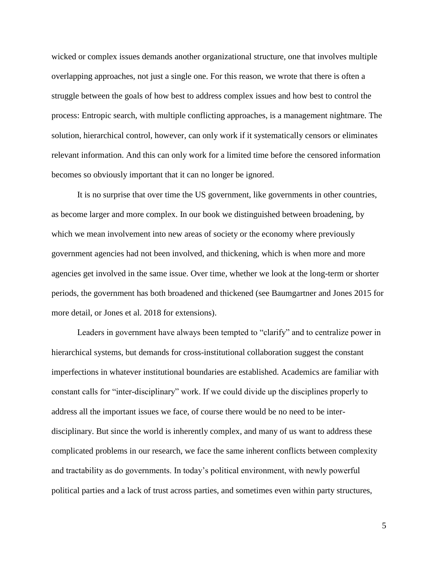wicked or complex issues demands another organizational structure, one that involves multiple overlapping approaches, not just a single one. For this reason, we wrote that there is often a struggle between the goals of how best to address complex issues and how best to control the process: Entropic search, with multiple conflicting approaches, is a management nightmare. The solution, hierarchical control, however, can only work if it systematically censors or eliminates relevant information. And this can only work for a limited time before the censored information becomes so obviously important that it can no longer be ignored.

It is no surprise that over time the US government, like governments in other countries, as become larger and more complex. In our book we distinguished between broadening, by which we mean involvement into new areas of society or the economy where previously government agencies had not been involved, and thickening, which is when more and more agencies get involved in the same issue. Over time, whether we look at the long-term or shorter periods, the government has both broadened and thickened (see Baumgartner and Jones 2015 for more detail, or Jones et al. 2018 for extensions).

Leaders in government have always been tempted to "clarify" and to centralize power in hierarchical systems, but demands for cross-institutional collaboration suggest the constant imperfections in whatever institutional boundaries are established. Academics are familiar with constant calls for "inter-disciplinary" work. If we could divide up the disciplines properly to address all the important issues we face, of course there would be no need to be interdisciplinary. But since the world is inherently complex, and many of us want to address these complicated problems in our research, we face the same inherent conflicts between complexity and tractability as do governments. In today's political environment, with newly powerful political parties and a lack of trust across parties, and sometimes even within party structures,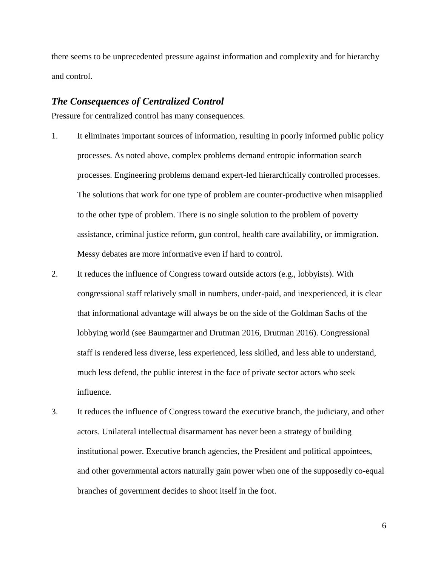there seems to be unprecedented pressure against information and complexity and for hierarchy and control.

### *The Consequences of Centralized Control*

Pressure for centralized control has many consequences.

- 1. It eliminates important sources of information, resulting in poorly informed public policy processes. As noted above, complex problems demand entropic information search processes. Engineering problems demand expert-led hierarchically controlled processes. The solutions that work for one type of problem are counter-productive when misapplied to the other type of problem. There is no single solution to the problem of poverty assistance, criminal justice reform, gun control, health care availability, or immigration. Messy debates are more informative even if hard to control.
- 2. It reduces the influence of Congress toward outside actors (e.g., lobbyists). With congressional staff relatively small in numbers, under-paid, and inexperienced, it is clear that informational advantage will always be on the side of the Goldman Sachs of the lobbying world (see Baumgartner and Drutman 2016, Drutman 2016). Congressional staff is rendered less diverse, less experienced, less skilled, and less able to understand, much less defend, the public interest in the face of private sector actors who seek influence.
- 3. It reduces the influence of Congress toward the executive branch, the judiciary, and other actors. Unilateral intellectual disarmament has never been a strategy of building institutional power. Executive branch agencies, the President and political appointees, and other governmental actors naturally gain power when one of the supposedly co-equal branches of government decides to shoot itself in the foot.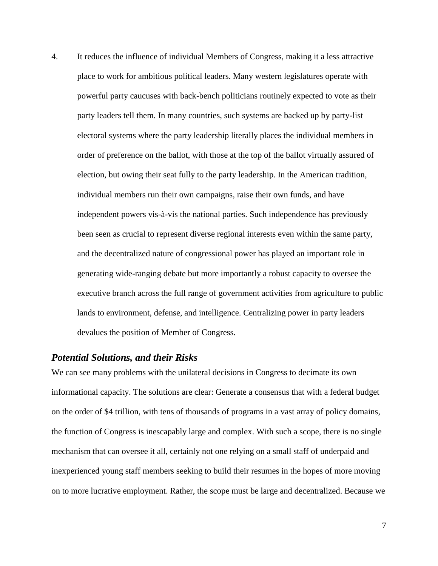4. It reduces the influence of individual Members of Congress, making it a less attractive place to work for ambitious political leaders. Many western legislatures operate with powerful party caucuses with back-bench politicians routinely expected to vote as their party leaders tell them. In many countries, such systems are backed up by party-list electoral systems where the party leadership literally places the individual members in order of preference on the ballot, with those at the top of the ballot virtually assured of election, but owing their seat fully to the party leadership. In the American tradition, individual members run their own campaigns, raise their own funds, and have independent powers vis-à-vis the national parties. Such independence has previously been seen as crucial to represent diverse regional interests even within the same party, and the decentralized nature of congressional power has played an important role in generating wide-ranging debate but more importantly a robust capacity to oversee the executive branch across the full range of government activities from agriculture to public lands to environment, defense, and intelligence. Centralizing power in party leaders devalues the position of Member of Congress.

## *Potential Solutions, and their Risks*

We can see many problems with the unilateral decisions in Congress to decimate its own informational capacity. The solutions are clear: Generate a consensus that with a federal budget on the order of \$4 trillion, with tens of thousands of programs in a vast array of policy domains, the function of Congress is inescapably large and complex. With such a scope, there is no single mechanism that can oversee it all, certainly not one relying on a small staff of underpaid and inexperienced young staff members seeking to build their resumes in the hopes of more moving on to more lucrative employment. Rather, the scope must be large and decentralized. Because we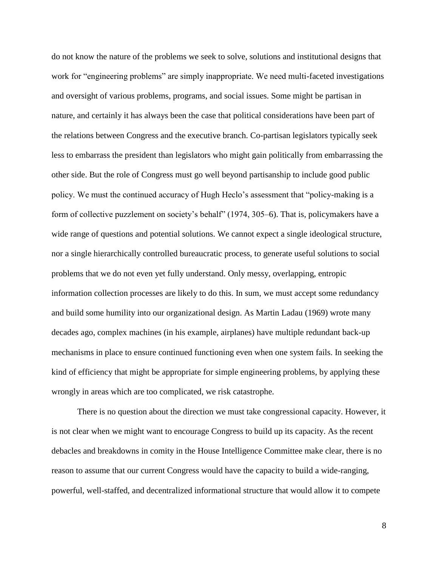do not know the nature of the problems we seek to solve, solutions and institutional designs that work for "engineering problems" are simply inappropriate. We need multi-faceted investigations and oversight of various problems, programs, and social issues. Some might be partisan in nature, and certainly it has always been the case that political considerations have been part of the relations between Congress and the executive branch. Co-partisan legislators typically seek less to embarrass the president than legislators who might gain politically from embarrassing the other side. But the role of Congress must go well beyond partisanship to include good public policy. We must the continued accuracy of Hugh Heclo's assessment that "policy-making is a form of collective puzzlement on society's behalf" (1974, 305–6). That is, policymakers have a wide range of questions and potential solutions. We cannot expect a single ideological structure, nor a single hierarchically controlled bureaucratic process, to generate useful solutions to social problems that we do not even yet fully understand. Only messy, overlapping, entropic information collection processes are likely to do this. In sum, we must accept some redundancy and build some humility into our organizational design. As Martin Ladau (1969) wrote many decades ago, complex machines (in his example, airplanes) have multiple redundant back-up mechanisms in place to ensure continued functioning even when one system fails. In seeking the kind of efficiency that might be appropriate for simple engineering problems, by applying these wrongly in areas which are too complicated, we risk catastrophe.

There is no question about the direction we must take congressional capacity. However, it is not clear when we might want to encourage Congress to build up its capacity. As the recent debacles and breakdowns in comity in the House Intelligence Committee make clear, there is no reason to assume that our current Congress would have the capacity to build a wide-ranging, powerful, well-staffed, and decentralized informational structure that would allow it to compete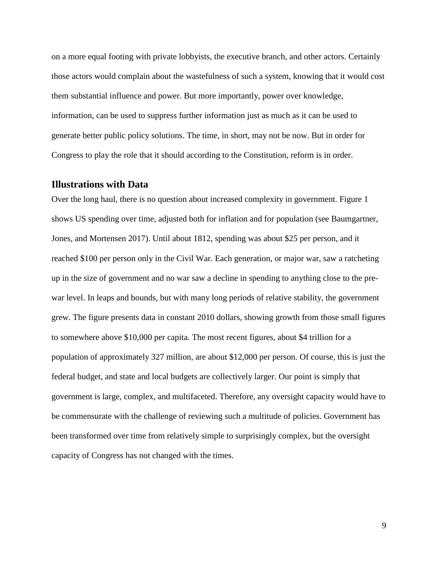on a more equal footing with private lobbyists, the executive branch, and other actors. Certainly those actors would complain about the wastefulness of such a system, knowing that it would cost them substantial influence and power. But more importantly, power over knowledge, information, can be used to suppress further information just as much as it can be used to generate better public policy solutions. The time, in short, may not be now. But in order for Congress to play the role that it should according to the Constitution, reform is in order.

#### **Illustrations with Data**

Over the long haul, there is no question about increased complexity in government. Figure 1 shows US spending over time, adjusted both for inflation and for population (see Baumgartner, Jones, and Mortensen 2017). Until about 1812, spending was about \$25 per person, and it reached \$100 per person only in the Civil War. Each generation, or major war, saw a ratcheting up in the size of government and no war saw a decline in spending to anything close to the prewar level. In leaps and bounds, but with many long periods of relative stability, the government grew. The figure presents data in constant 2010 dollars, showing growth from those small figures to somewhere above \$10,000 per capita. The most recent figures, about \$4 trillion for a population of approximately 327 million, are about \$12,000 per person. Of course, this is just the federal budget, and state and local budgets are collectively larger. Our point is simply that government is large, complex, and multifaceted. Therefore, any oversight capacity would have to be commensurate with the challenge of reviewing such a multitude of policies. Government has been transformed over time from relatively simple to surprisingly complex, but the oversight capacity of Congress has not changed with the times.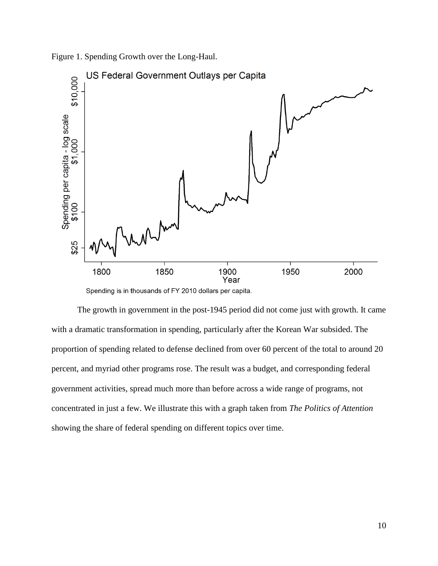



Spending is in thousands of FY 2010 dollars per capita.

The growth in government in the post-1945 period did not come just with growth. It came with a dramatic transformation in spending, particularly after the Korean War subsided. The proportion of spending related to defense declined from over 60 percent of the total to around 20 percent, and myriad other programs rose. The result was a budget, and corresponding federal government activities, spread much more than before across a wide range of programs, not concentrated in just a few. We illustrate this with a graph taken from *The Politics of Attention* showing the share of federal spending on different topics over time.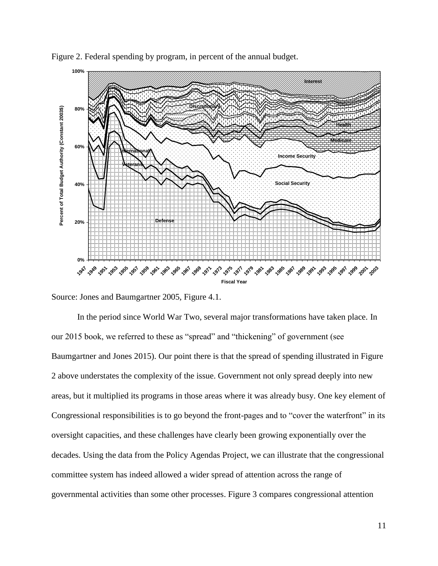

Figure 2. Federal spending by program, in percent of the annual budget.

In the period since World War Two, several major transformations have taken place. In our 2015 book, we referred to these as "spread" and "thickening" of government (see Baumgartner and Jones 2015). Our point there is that the spread of spending illustrated in Figure 2 above understates the complexity of the issue. Government not only spread deeply into new areas, but it multiplied its programs in those areas where it was already busy. One key element of Congressional responsibilities is to go beyond the front-pages and to "cover the waterfront" in its oversight capacities, and these challenges have clearly been growing exponentially over the decades. Using the data from the Policy Agendas Project, we can illustrate that the congressional committee system has indeed allowed a wider spread of attention across the range of governmental activities than some other processes. Figure 3 compares congressional attention

Source: Jones and Baumgartner 2005, Figure 4.1.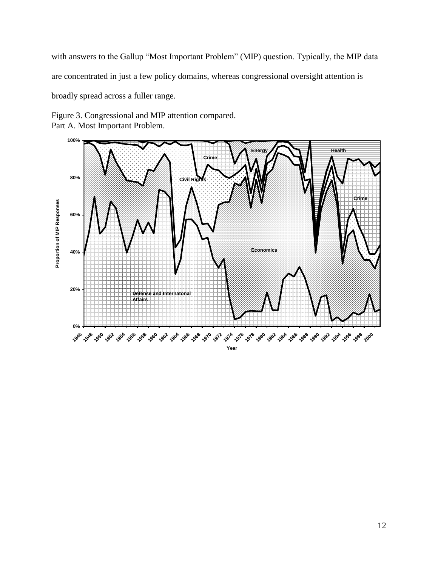with answers to the Gallup "Most Important Problem" (MIP) question. Typically, the MIP data are concentrated in just a few policy domains, whereas congressional oversight attention is broadly spread across a fuller range.

Figure 3. Congressional and MIP attention compared. Part A. Most Important Problem.

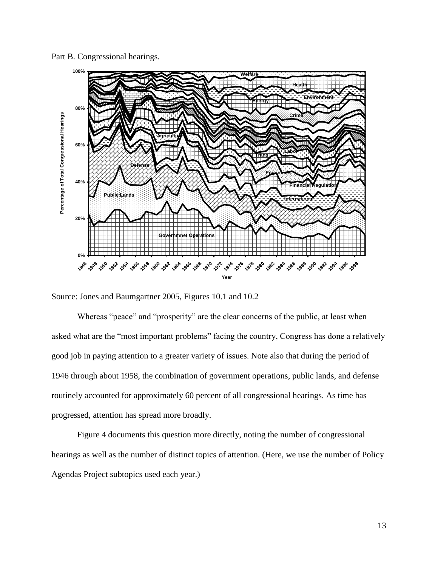Part B. Congressional hearings.



Source: Jones and Baumgartner 2005, Figures 10.1 and 10.2

Whereas "peace" and "prosperity" are the clear concerns of the public, at least when asked what are the "most important problems" facing the country, Congress has done a relatively good job in paying attention to a greater variety of issues. Note also that during the period of 1946 through about 1958, the combination of government operations, public lands, and defense routinely accounted for approximately 60 percent of all congressional hearings. As time has progressed, attention has spread more broadly.

Figure 4 documents this question more directly, noting the number of congressional hearings as well as the number of distinct topics of attention. (Here, we use the number of Policy Agendas Project subtopics used each year.)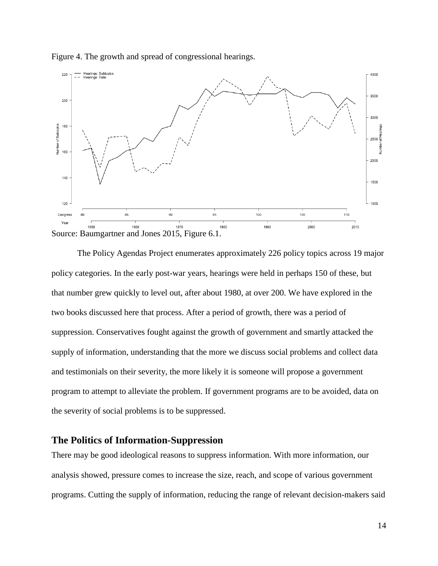

Figure 4. The growth and spread of congressional hearings.

The Policy Agendas Project enumerates approximately 226 policy topics across 19 major policy categories. In the early post-war years, hearings were held in perhaps 150 of these, but that number grew quickly to level out, after about 1980, at over 200. We have explored in the two books discussed here that process. After a period of growth, there was a period of suppression. Conservatives fought against the growth of government and smartly attacked the supply of information, understanding that the more we discuss social problems and collect data and testimonials on their severity, the more likely it is someone will propose a government program to attempt to alleviate the problem. If government programs are to be avoided, data on the severity of social problems is to be suppressed.

# **The Politics of Information-Suppression**

There may be good ideological reasons to suppress information. With more information, our analysis showed, pressure comes to increase the size, reach, and scope of various government programs. Cutting the supply of information, reducing the range of relevant decision-makers said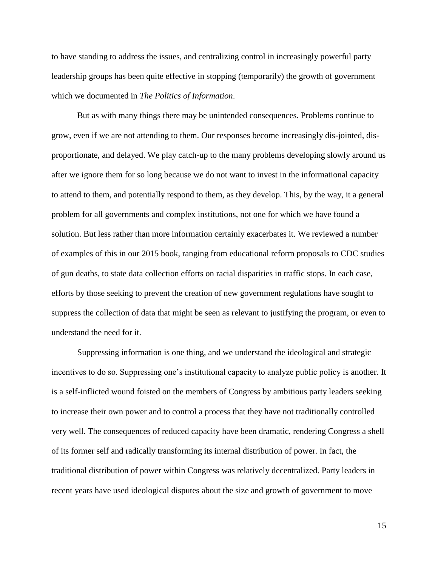to have standing to address the issues, and centralizing control in increasingly powerful party leadership groups has been quite effective in stopping (temporarily) the growth of government which we documented in *The Politics of Information*.

But as with many things there may be unintended consequences. Problems continue to grow, even if we are not attending to them. Our responses become increasingly dis-jointed, disproportionate, and delayed. We play catch-up to the many problems developing slowly around us after we ignore them for so long because we do not want to invest in the informational capacity to attend to them, and potentially respond to them, as they develop. This, by the way, it a general problem for all governments and complex institutions, not one for which we have found a solution. But less rather than more information certainly exacerbates it. We reviewed a number of examples of this in our 2015 book, ranging from educational reform proposals to CDC studies of gun deaths, to state data collection efforts on racial disparities in traffic stops. In each case, efforts by those seeking to prevent the creation of new government regulations have sought to suppress the collection of data that might be seen as relevant to justifying the program, or even to understand the need for it.

Suppressing information is one thing, and we understand the ideological and strategic incentives to do so. Suppressing one's institutional capacity to analyze public policy is another. It is a self-inflicted wound foisted on the members of Congress by ambitious party leaders seeking to increase their own power and to control a process that they have not traditionally controlled very well. The consequences of reduced capacity have been dramatic, rendering Congress a shell of its former self and radically transforming its internal distribution of power. In fact, the traditional distribution of power within Congress was relatively decentralized. Party leaders in recent years have used ideological disputes about the size and growth of government to move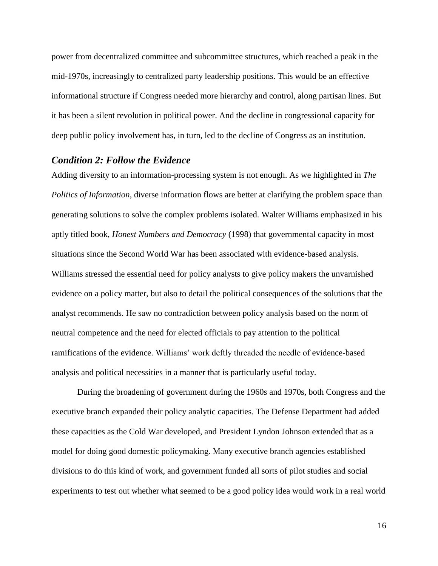power from decentralized committee and subcommittee structures, which reached a peak in the mid-1970s, increasingly to centralized party leadership positions. This would be an effective informational structure if Congress needed more hierarchy and control, along partisan lines. But it has been a silent revolution in political power. And the decline in congressional capacity for deep public policy involvement has, in turn, led to the decline of Congress as an institution.

# *Condition 2: Follow the Evidence*

Adding diversity to an information-processing system is not enough. As we highlighted in *The Politics of Information*, diverse information flows are better at clarifying the problem space than generating solutions to solve the complex problems isolated. Walter Williams emphasized in his aptly titled book, *Honest Numbers and Democracy* (1998) that governmental capacity in most situations since the Second World War has been associated with evidence-based analysis. Williams stressed the essential need for policy analysts to give policy makers the unvarnished evidence on a policy matter, but also to detail the political consequences of the solutions that the analyst recommends. He saw no contradiction between policy analysis based on the norm of neutral competence and the need for elected officials to pay attention to the political ramifications of the evidence. Williams' work deftly threaded the needle of evidence-based analysis and political necessities in a manner that is particularly useful today.

During the broadening of government during the 1960s and 1970s, both Congress and the executive branch expanded their policy analytic capacities. The Defense Department had added these capacities as the Cold War developed, and President Lyndon Johnson extended that as a model for doing good domestic policymaking. Many executive branch agencies established divisions to do this kind of work, and government funded all sorts of pilot studies and social experiments to test out whether what seemed to be a good policy idea would work in a real world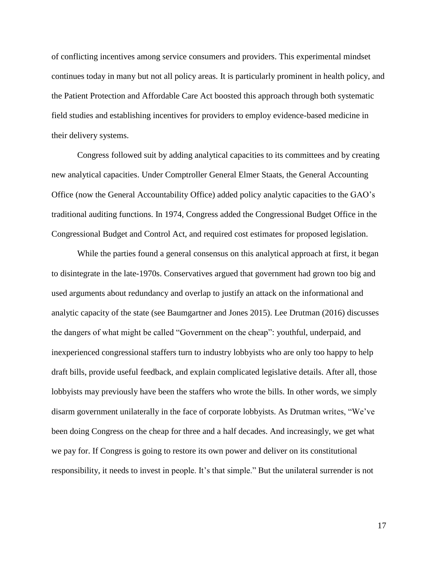of conflicting incentives among service consumers and providers. This experimental mindset continues today in many but not all policy areas. It is particularly prominent in health policy, and the Patient Protection and Affordable Care Act boosted this approach through both systematic field studies and establishing incentives for providers to employ evidence-based medicine in their delivery systems.

Congress followed suit by adding analytical capacities to its committees and by creating new analytical capacities. Under Comptroller General Elmer Staats, the General Accounting Office (now the General Accountability Office) added policy analytic capacities to the GAO's traditional auditing functions. In 1974, Congress added the Congressional Budget Office in the Congressional Budget and Control Act, and required cost estimates for proposed legislation.

While the parties found a general consensus on this analytical approach at first, it began to disintegrate in the late-1970s. Conservatives argued that government had grown too big and used arguments about redundancy and overlap to justify an attack on the informational and analytic capacity of the state (see Baumgartner and Jones 2015). Lee Drutman (2016) discusses the dangers of what might be called "Government on the cheap": youthful, underpaid, and inexperienced congressional staffers turn to industry lobbyists who are only too happy to help draft bills, provide useful feedback, and explain complicated legislative details. After all, those lobbyists may previously have been the staffers who wrote the bills. In other words, we simply disarm government unilaterally in the face of corporate lobbyists. As Drutman writes, "We've been doing Congress on the cheap for three and a half decades. And increasingly, we get what we pay for. If Congress is going to restore its own power and deliver on its constitutional responsibility, it needs to invest in people. It's that simple." But the unilateral surrender is not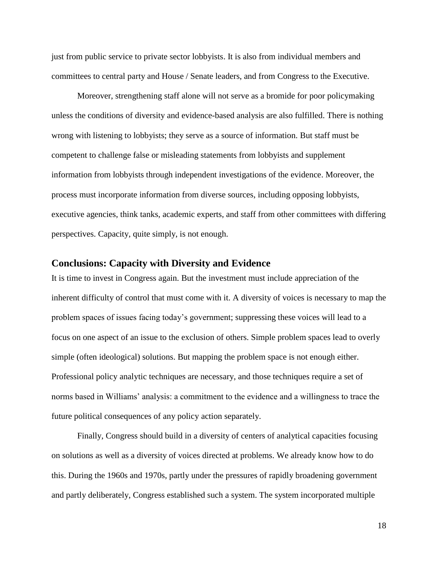just from public service to private sector lobbyists. It is also from individual members and committees to central party and House / Senate leaders, and from Congress to the Executive.

Moreover, strengthening staff alone will not serve as a bromide for poor policymaking unless the conditions of diversity and evidence-based analysis are also fulfilled. There is nothing wrong with listening to lobbyists; they serve as a source of information. But staff must be competent to challenge false or misleading statements from lobbyists and supplement information from lobbyists through independent investigations of the evidence. Moreover, the process must incorporate information from diverse sources, including opposing lobbyists, executive agencies, think tanks, academic experts, and staff from other committees with differing perspectives. Capacity, quite simply, is not enough.

### **Conclusions: Capacity with Diversity and Evidence**

It is time to invest in Congress again. But the investment must include appreciation of the inherent difficulty of control that must come with it. A diversity of voices is necessary to map the problem spaces of issues facing today's government; suppressing these voices will lead to a focus on one aspect of an issue to the exclusion of others. Simple problem spaces lead to overly simple (often ideological) solutions. But mapping the problem space is not enough either. Professional policy analytic techniques are necessary, and those techniques require a set of norms based in Williams' analysis: a commitment to the evidence and a willingness to trace the future political consequences of any policy action separately.

Finally, Congress should build in a diversity of centers of analytical capacities focusing on solutions as well as a diversity of voices directed at problems. We already know how to do this. During the 1960s and 1970s, partly under the pressures of rapidly broadening government and partly deliberately, Congress established such a system. The system incorporated multiple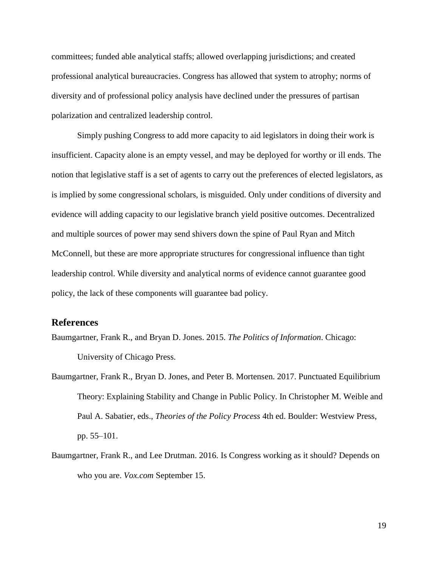committees; funded able analytical staffs; allowed overlapping jurisdictions; and created professional analytical bureaucracies. Congress has allowed that system to atrophy; norms of diversity and of professional policy analysis have declined under the pressures of partisan polarization and centralized leadership control.

Simply pushing Congress to add more capacity to aid legislators in doing their work is insufficient. Capacity alone is an empty vessel, and may be deployed for worthy or ill ends. The notion that legislative staff is a set of agents to carry out the preferences of elected legislators, as is implied by some congressional scholars, is misguided. Only under conditions of diversity and evidence will adding capacity to our legislative branch yield positive outcomes. Decentralized and multiple sources of power may send shivers down the spine of Paul Ryan and Mitch McConnell, but these are more appropriate structures for congressional influence than tight leadership control. While diversity and analytical norms of evidence cannot guarantee good policy, the lack of these components will guarantee bad policy.

# **References**

Baumgartner, Frank R., and Bryan D. Jones. 2015. *The Politics of Information*. Chicago: University of Chicago Press.

- Baumgartner, Frank R., Bryan D. Jones, and Peter B. Mortensen. 2017. Punctuated Equilibrium Theory: Explaining Stability and Change in Public Policy. In Christopher M. Weible and Paul A. Sabatier, eds., *Theories of the Policy Process* 4th ed. Boulder: Westview Press, pp. 55–101.
- Baumgartner, Frank R., and Lee Drutman. 2016. Is Congress working as it should? Depends on who you are. *Vox.com* September 15.